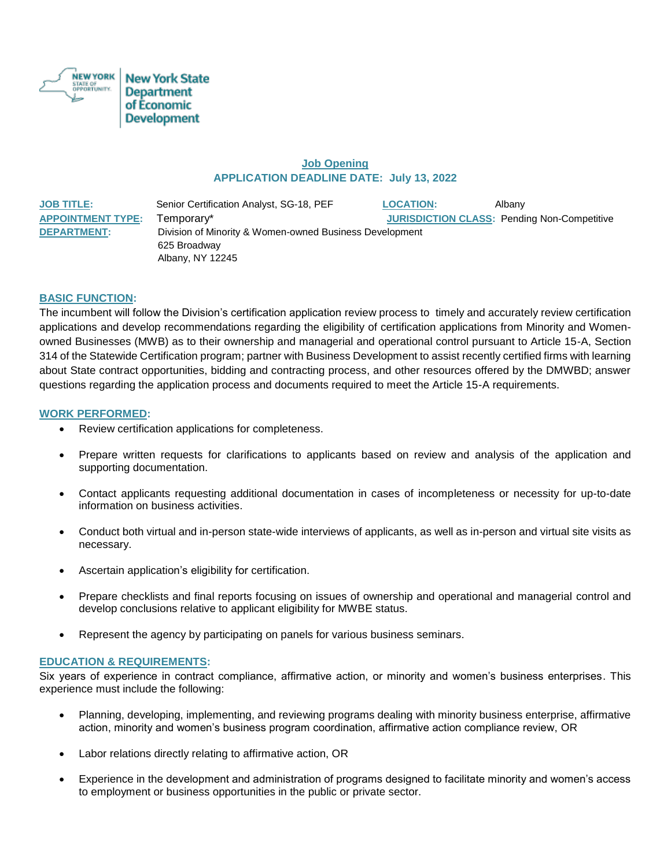

# **Job Opening APPLICATION DEADLINE DATE: July 13, 2022**

**JOB TITLE:** Senior Certification Analyst, SG-18, PEF **LOCATION:** Albany **APPOINTMENT TYPE:** Temporary\* **JURISDICTION CLASS:** Pending Non-Competitive **DEPARTMENT:** Division of Minority & Women-owned Business Development 625 Broadway Albany, NY 12245

## **BASIC FUNCTION:**

The incumbent will follow the Division's certification application review process to timely and accurately review certification applications and develop recommendations regarding the eligibility of certification applications from Minority and Womenowned Businesses (MWB) as to their ownership and managerial and operational control pursuant to Article 15-A, Section 314 of the Statewide Certification program; partner with Business Development to assist recently certified firms with learning about State contract opportunities, bidding and contracting process, and other resources offered by the DMWBD; answer questions regarding the application process and documents required to meet the Article 15-A requirements.

#### **WORK PERFORMED:**

- Review certification applications for completeness.
- Prepare written requests for clarifications to applicants based on review and analysis of the application and supporting documentation.
- Contact applicants requesting additional documentation in cases of incompleteness or necessity for up-to-date information on business activities.
- Conduct both virtual and in-person state-wide interviews of applicants, as well as in-person and virtual site visits as necessary.
- Ascertain application's eligibility for certification.
- Prepare checklists and final reports focusing on issues of ownership and operational and managerial control and develop conclusions relative to applicant eligibility for MWBE status.
- Represent the agency by participating on panels for various business seminars.

## **EDUCATION & REQUIREMENTS:**

Six years of experience in contract compliance, affirmative action, or minority and women's business enterprises. This experience must include the following:

- Planning, developing, implementing, and reviewing programs dealing with minority business enterprise, affirmative action, minority and women's business program coordination, affirmative action compliance review, OR
- Labor relations directly relating to affirmative action, OR
- Experience in the development and administration of programs designed to facilitate minority and women's access to employment or business opportunities in the public or private sector.